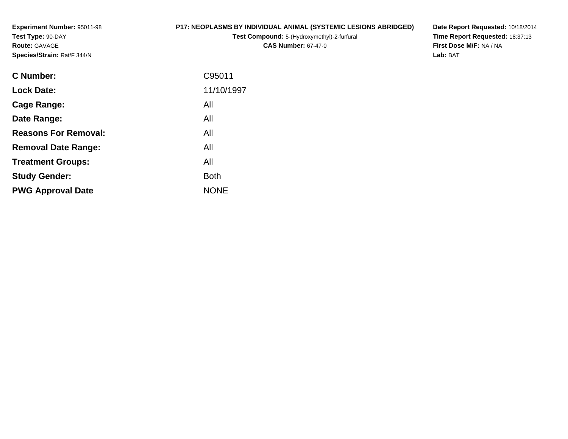**Experiment Number:** 95011-98**Test Type:** 90-DAY**Route:** GAVAGE**Species/Strain:** Rat/F 344/N

## **P17: NEOPLASMS BY INDIVIDUAL ANIMAL (SYSTEMIC LESIONS ABRIDGED)**

**Test Compound:** 5-(Hydroxymethyl)-2-furfural **CAS Number:** 67-47-0

**Date Report Requested:** 10/18/2014 **Time Report Requested:** 18:37:13**First Dose M/F:** NA / NA**Lab:** BAT

| <b>C</b> Number:            | C95011      |
|-----------------------------|-------------|
| <b>Lock Date:</b>           | 11/10/1997  |
| Cage Range:                 | All         |
| Date Range:                 | All         |
| <b>Reasons For Removal:</b> | All         |
| <b>Removal Date Range:</b>  | All         |
| <b>Treatment Groups:</b>    | All         |
| <b>Study Gender:</b>        | <b>Both</b> |
| <b>PWG Approval Date</b>    | <b>NONE</b> |
|                             |             |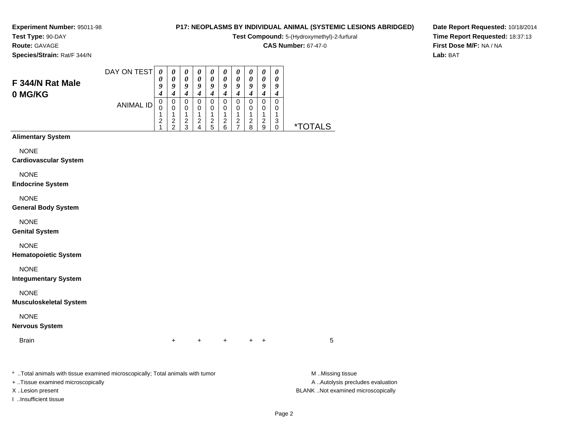## **Test Type:** 90-DAY**Route:** GAVAGE

**Species/Strain:** Rat/F 344/N

## **P17: NEOPLASMS BY INDIVIDUAL ANIMAL (SYSTEMIC LESIONS ABRIDGED)**

**Test Compound:** 5-(Hydroxymethyl)-2-furfural

**CAS Number:** 67-47-0

**Date Report Requested:** 10/18/2014**Time Report Requested:** 18:37:13**First Dose M/F:** NA / NA**Lab:** BAT

| F 344/N Rat Male<br>0 MG/KG                  | DAY ON TEST<br><b>ANIMAL ID</b> | $\boldsymbol{\theta}$<br>0<br>9<br>$\boldsymbol{4}$<br>$\mathbf 0$<br>$\mathbf 0$<br>1<br>$\boldsymbol{2}$<br>1 | $\pmb{\theta}$<br>0<br>9<br>$\boldsymbol{4}$<br>$\pmb{0}$<br>$\pmb{0}$<br>$\mathbf{1}$<br>$\overline{c}$<br>$\overline{c}$ | $\pmb{\theta}$<br>$\pmb{\theta}$<br>9<br>$\boldsymbol{4}$<br>$\pmb{0}$<br>0<br>1<br>$\boldsymbol{2}$<br>3 | 0<br>$\boldsymbol{\theta}$<br>9<br>$\boldsymbol{4}$<br>$\pmb{0}$<br>$\pmb{0}$<br>1<br>$\boldsymbol{2}$<br>$\overline{\mathbf{4}}$ | $\pmb{\theta}$<br>$\boldsymbol{\theta}$<br>$\pmb{9}$<br>$\boldsymbol{4}$<br>$\pmb{0}$<br>$\mathbf 0$<br>1<br>$\boldsymbol{2}$<br>5 | $\pmb{\theta}$<br>$\boldsymbol{\theta}$<br>9<br>$\boldsymbol{4}$<br>$\pmb{0}$<br>$\mathbf 0$<br>$\mathbf{1}$<br>$\boldsymbol{2}$<br>$\,6\,$ | $\boldsymbol{\theta}$<br>$\boldsymbol{\theta}$<br>9<br>$\boldsymbol{4}$<br>$\pmb{0}$<br>$\pmb{0}$<br>1<br>$\boldsymbol{2}$<br>$\overline{7}$ | $\pmb{\theta}$<br>$\boldsymbol{\theta}$<br>9<br>$\boldsymbol{4}$<br>$\pmb{0}$<br>$\pmb{0}$<br>1<br>$\boldsymbol{2}$<br>8 | $\pmb{\theta}$<br>$\pmb{\theta}$<br>$\pmb{9}$<br>$\boldsymbol{4}$<br>$\pmb{0}$<br>$\mathbf 0$<br>$\mathbf{1}$<br>$\overline{c}$<br>9 | $\boldsymbol{\theta}$<br>0<br>9<br>$\boldsymbol{4}$<br>0<br>0<br>1<br>$\ensuremath{\mathsf{3}}$<br>0 | <i><b>*TOTALS</b></i> |
|----------------------------------------------|---------------------------------|-----------------------------------------------------------------------------------------------------------------|----------------------------------------------------------------------------------------------------------------------------|-----------------------------------------------------------------------------------------------------------|-----------------------------------------------------------------------------------------------------------------------------------|------------------------------------------------------------------------------------------------------------------------------------|---------------------------------------------------------------------------------------------------------------------------------------------|----------------------------------------------------------------------------------------------------------------------------------------------|--------------------------------------------------------------------------------------------------------------------------|--------------------------------------------------------------------------------------------------------------------------------------|------------------------------------------------------------------------------------------------------|-----------------------|
| <b>Alimentary System</b>                     |                                 |                                                                                                                 |                                                                                                                            |                                                                                                           |                                                                                                                                   |                                                                                                                                    |                                                                                                                                             |                                                                                                                                              |                                                                                                                          |                                                                                                                                      |                                                                                                      |                       |
| <b>NONE</b><br><b>Cardiovascular System</b>  |                                 |                                                                                                                 |                                                                                                                            |                                                                                                           |                                                                                                                                   |                                                                                                                                    |                                                                                                                                             |                                                                                                                                              |                                                                                                                          |                                                                                                                                      |                                                                                                      |                       |
| <b>NONE</b><br><b>Endocrine System</b>       |                                 |                                                                                                                 |                                                                                                                            |                                                                                                           |                                                                                                                                   |                                                                                                                                    |                                                                                                                                             |                                                                                                                                              |                                                                                                                          |                                                                                                                                      |                                                                                                      |                       |
| <b>NONE</b><br><b>General Body System</b>    |                                 |                                                                                                                 |                                                                                                                            |                                                                                                           |                                                                                                                                   |                                                                                                                                    |                                                                                                                                             |                                                                                                                                              |                                                                                                                          |                                                                                                                                      |                                                                                                      |                       |
| <b>NONE</b><br><b>Genital System</b>         |                                 |                                                                                                                 |                                                                                                                            |                                                                                                           |                                                                                                                                   |                                                                                                                                    |                                                                                                                                             |                                                                                                                                              |                                                                                                                          |                                                                                                                                      |                                                                                                      |                       |
| <b>NONE</b><br><b>Hematopoietic System</b>   |                                 |                                                                                                                 |                                                                                                                            |                                                                                                           |                                                                                                                                   |                                                                                                                                    |                                                                                                                                             |                                                                                                                                              |                                                                                                                          |                                                                                                                                      |                                                                                                      |                       |
| <b>NONE</b><br><b>Integumentary System</b>   |                                 |                                                                                                                 |                                                                                                                            |                                                                                                           |                                                                                                                                   |                                                                                                                                    |                                                                                                                                             |                                                                                                                                              |                                                                                                                          |                                                                                                                                      |                                                                                                      |                       |
| <b>NONE</b><br><b>Musculoskeletal System</b> |                                 |                                                                                                                 |                                                                                                                            |                                                                                                           |                                                                                                                                   |                                                                                                                                    |                                                                                                                                             |                                                                                                                                              |                                                                                                                          |                                                                                                                                      |                                                                                                      |                       |
| <b>NONE</b><br><b>Nervous System</b>         |                                 |                                                                                                                 |                                                                                                                            |                                                                                                           |                                                                                                                                   |                                                                                                                                    |                                                                                                                                             |                                                                                                                                              |                                                                                                                          |                                                                                                                                      |                                                                                                      |                       |
| <b>Brain</b>                                 |                                 |                                                                                                                 | $\ddot{}$                                                                                                                  |                                                                                                           | $\ddot{}$                                                                                                                         |                                                                                                                                    | $+$                                                                                                                                         |                                                                                                                                              | $+$                                                                                                                      | $\ddot{}$                                                                                                                            |                                                                                                      | 5                     |
|                                              |                                 |                                                                                                                 |                                                                                                                            |                                                                                                           |                                                                                                                                   |                                                                                                                                    |                                                                                                                                             |                                                                                                                                              |                                                                                                                          |                                                                                                                                      |                                                                                                      |                       |

\* ..Total animals with tissue examined microscopically; Total animals with tumor **M** ...Missing tissue M ...Missing tissue

+ ..Tissue examined microscopically

I ..Insufficient tissue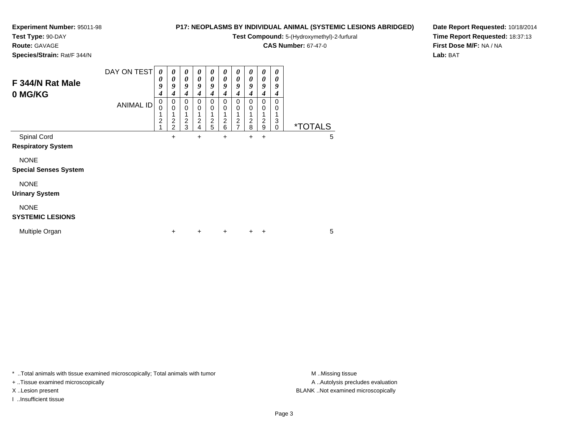## **Test Type:** 90-DAY

**Route:** GAVAGE

**Species/Strain:** Rat/F 344/N

## **P17: NEOPLASMS BY INDIVIDUAL ANIMAL (SYSTEMIC LESIONS ABRIDGED)**

**Test Compound:** 5-(Hydroxymethyl)-2-furfural

**CAS Number:** 67-47-0

**Date Report Requested:** 10/18/2014**Time Report Requested:** 18:37:13**First Dose M/F:** NA / NA**Lab:** BAT

| F 344/N Rat Male<br>0 MG/KG                 | DAY ON TEST      | 0<br>0<br>9<br>4         | $\boldsymbol{\theta}$<br>$\boldsymbol{\theta}$<br>9<br>4 | $\boldsymbol{\theta}$<br>0<br>9<br>4 | 0<br>0<br>9<br>4                                      | 0<br>0<br>9<br>4 | 0<br>0<br>9<br>4                            | 0<br>0<br>9<br>4              | 0<br>0<br>9<br>4              | 0<br>$\boldsymbol{\theta}$<br>9<br>4 | 0<br>0<br>9<br>4 |                       |   |  |
|---------------------------------------------|------------------|--------------------------|----------------------------------------------------------|--------------------------------------|-------------------------------------------------------|------------------|---------------------------------------------|-------------------------------|-------------------------------|--------------------------------------|------------------|-----------------------|---|--|
|                                             | <b>ANIMAL ID</b> | 0<br>0<br>$\overline{c}$ | 0<br>$\mathbf 0$<br>$\overline{c}$<br>$\overline{2}$     | 0<br>0<br>$\overline{2}$<br>3        | $\mathbf 0$<br>0<br>1<br>$\overline{\mathbf{c}}$<br>4 | 0<br>0<br>2<br>5 | 0<br>0<br>1<br>$\overline{\mathbf{c}}$<br>6 | 0<br>0<br>2<br>$\overline{7}$ | 0<br>0<br>$\overline{c}$<br>8 | 0<br>0<br>$\overline{c}$<br>9        | 0<br>0<br>3<br>0 | <i><b>*TOTALS</b></i> |   |  |
| Spinal Cord<br><b>Respiratory System</b>    |                  |                          | $\ddot{}$                                                |                                      | $\ddot{}$                                             |                  | $\ddot{}$                                   |                               | +                             | +                                    |                  |                       | 5 |  |
| <b>NONE</b><br><b>Special Senses System</b> |                  |                          |                                                          |                                      |                                                       |                  |                                             |                               |                               |                                      |                  |                       |   |  |
| <b>NONE</b><br><b>Urinary System</b>        |                  |                          |                                                          |                                      |                                                       |                  |                                             |                               |                               |                                      |                  |                       |   |  |
| <b>NONE</b><br><b>SYSTEMIC LESIONS</b>      |                  |                          |                                                          |                                      |                                                       |                  |                                             |                               |                               |                                      |                  |                       |   |  |
| Multiple Organ                              |                  |                          | +                                                        |                                      | $\ddot{}$                                             |                  | $\ddot{}$                                   |                               | $\pm$                         | ÷                                    |                  |                       | 5 |  |

\* ..Total animals with tissue examined microscopically; Total animals with tumor **M** . Missing tissue M ..Missing tissue

+ ..Tissue examined microscopically

I ..Insufficient tissue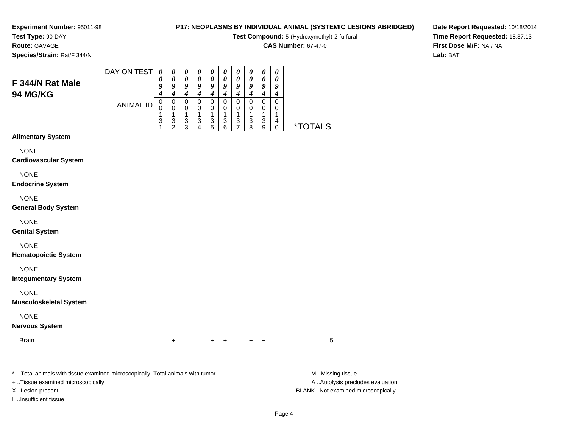# **Test Type:** 90-DAY

**Route:** GAVAGE

**Species/Strain:** Rat/F 344/N

## **P17: NEOPLASMS BY INDIVIDUAL ANIMAL (SYSTEMIC LESIONS ABRIDGED)**

**Test Compound:** 5-(Hydroxymethyl)-2-furfural

**CAS Number:** 67-47-0

**Date Report Requested:** 10/18/2014**Time Report Requested:** 18:37:13**First Dose M/F:** NA / NA**Lab:** BAT

| F 344/N Rat Male<br><b>94 MG/KG</b>                                            | DAY ON TEST      | 0<br>0<br>9<br>4                | 0<br>$\boldsymbol{\theta}$<br>9<br>$\boldsymbol{4}$ | 0<br>$\boldsymbol{\theta}$<br>9<br>$\boldsymbol{4}$ | 0<br>$\boldsymbol{\theta}$<br>9<br>$\boldsymbol{4}$ | 0<br>$\pmb{\theta}$<br>9<br>$\boldsymbol{4}$  | 0<br>$\boldsymbol{\theta}$<br>9<br>$\boldsymbol{4}$ | 0<br>$\boldsymbol{\theta}$<br>9<br>$\boldsymbol{4}$ | 0<br>$\boldsymbol{\theta}$<br>9<br>$\boldsymbol{4}$ | 0<br>$\pmb{\theta}$<br>$\pmb{9}$<br>$\boldsymbol{4}$    | 0<br>0<br>9<br>$\boldsymbol{4}$ |                       |
|--------------------------------------------------------------------------------|------------------|---------------------------------|-----------------------------------------------------|-----------------------------------------------------|-----------------------------------------------------|-----------------------------------------------|-----------------------------------------------------|-----------------------------------------------------|-----------------------------------------------------|---------------------------------------------------------|---------------------------------|-----------------------|
|                                                                                | <b>ANIMAL ID</b> | $\mathbf 0$<br>0<br>1<br>3<br>1 | $\,0\,$<br>$\mathbf 0$<br>1<br>$\frac{3}{2}$        | $\pmb{0}$<br>0<br>1<br>$\frac{3}{3}$                | $\pmb{0}$<br>0<br>$\mathbf 1$<br>$\frac{3}{4}$      | $\,0\,$<br>0<br>$\mathbf{1}$<br>$\frac{3}{5}$ | $\mathbf 0$<br>0<br>1<br>$\frac{3}{6}$              | $\,0\,$<br>0<br>$\mathbf 1$<br>$\frac{3}{7}$        | $\,0\,$<br>0<br>1<br>3<br>8                         | $\pmb{0}$<br>$\pmb{0}$<br>$\mathbf{1}$<br>$\frac{3}{9}$ | $\pmb{0}$<br>0<br>1<br>4<br>0   | <i><b>*TOTALS</b></i> |
| <b>Alimentary System</b>                                                       |                  |                                 |                                                     |                                                     |                                                     |                                               |                                                     |                                                     |                                                     |                                                         |                                 |                       |
| <b>NONE</b><br><b>Cardiovascular System</b><br><b>NONE</b>                     |                  |                                 |                                                     |                                                     |                                                     |                                               |                                                     |                                                     |                                                     |                                                         |                                 |                       |
| <b>Endocrine System</b><br><b>NONE</b><br><b>General Body System</b>           |                  |                                 |                                                     |                                                     |                                                     |                                               |                                                     |                                                     |                                                     |                                                         |                                 |                       |
| <b>NONE</b><br><b>Genital System</b>                                           |                  |                                 |                                                     |                                                     |                                                     |                                               |                                                     |                                                     |                                                     |                                                         |                                 |                       |
| <b>NONE</b><br><b>Hematopoietic System</b>                                     |                  |                                 |                                                     |                                                     |                                                     |                                               |                                                     |                                                     |                                                     |                                                         |                                 |                       |
| <b>NONE</b><br><b>Integumentary System</b>                                     |                  |                                 |                                                     |                                                     |                                                     |                                               |                                                     |                                                     |                                                     |                                                         |                                 |                       |
| <b>NONE</b><br><b>Musculoskeletal System</b>                                   |                  |                                 |                                                     |                                                     |                                                     |                                               |                                                     |                                                     |                                                     |                                                         |                                 |                       |
| <b>NONE</b><br><b>Nervous System</b>                                           |                  |                                 |                                                     |                                                     |                                                     |                                               |                                                     |                                                     |                                                     |                                                         |                                 |                       |
| <b>Brain</b>                                                                   |                  |                                 | $\ddot{}$                                           |                                                     |                                                     | $\ddot{}$                                     | ٠                                                   |                                                     | ÷                                                   | $\ddot{}$                                               |                                 | 5                     |
| * Total animals with tissue examined microscopically; Total animals with tumor |                  |                                 |                                                     |                                                     |                                                     |                                               |                                                     |                                                     |                                                     |                                                         |                                 | M Missing tissue      |

+ ..Tissue examined microscopically

I ..Insufficient tissue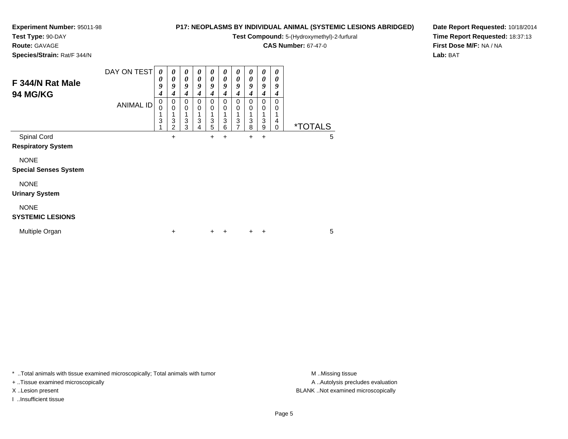**Test Type:** 90-DAY

**Route:** GAVAGE

**Species/Strain:** Rat/F 344/N

## **P17: NEOPLASMS BY INDIVIDUAL ANIMAL (SYSTEMIC LESIONS ABRIDGED)**

**Test Compound:** 5-(Hydroxymethyl)-2-furfural

**CAS Number:** 67-47-0

**Date Report Requested:** 10/18/2014**Time Report Requested:** 18:37:13**First Dose M/F:** NA / NA**Lab:** BAT

| F 344/N Rat Male<br>94 MG/KG                               | DAY ON TEST<br><b>ANIMAL ID</b> | $\boldsymbol{\theta}$<br>0<br>9<br>4<br>0<br>0<br>3 | 0<br>0<br>9<br>4<br>0<br>$\mathbf 0$<br>1<br>3<br>$\overline{2}$ | $\boldsymbol{\theta}$<br>0<br>9<br>4<br>0<br>$\mathbf 0$<br>3<br>3 | $\boldsymbol{\theta}$<br>$\boldsymbol{\theta}$<br>9<br>$\boldsymbol{4}$<br>0<br>$\mathbf 0$<br>1<br>3<br>4 | 0<br>0<br>9<br>4<br>0<br>0<br>3<br>5 | 0<br>0<br>9<br>4<br>0<br>0<br>3<br>6 | 0<br>0<br>9<br>4<br>0<br>0<br>3<br>7 | 0<br>0<br>9<br>4<br>0<br>0<br>3<br>8 | $\boldsymbol{\theta}$<br>0<br>9<br>4<br>0<br>0<br>3<br>9 | $\boldsymbol{\theta}$<br>0<br>9<br>4<br>0<br>0<br>4<br>0 | <i><b>*TOTALS</b></i> |   |
|------------------------------------------------------------|---------------------------------|-----------------------------------------------------|------------------------------------------------------------------|--------------------------------------------------------------------|------------------------------------------------------------------------------------------------------------|--------------------------------------|--------------------------------------|--------------------------------------|--------------------------------------|----------------------------------------------------------|----------------------------------------------------------|-----------------------|---|
| Spinal Cord                                                |                                 |                                                     | $\ddot{}$                                                        |                                                                    |                                                                                                            | $\ddot{}$                            | +                                    |                                      | $+$                                  | +                                                        |                                                          |                       | 5 |
| <b>Respiratory System</b>                                  |                                 |                                                     |                                                                  |                                                                    |                                                                                                            |                                      |                                      |                                      |                                      |                                                          |                                                          |                       |   |
| <b>NONE</b><br><b>Special Senses System</b><br><b>NONE</b> |                                 |                                                     |                                                                  |                                                                    |                                                                                                            |                                      |                                      |                                      |                                      |                                                          |                                                          |                       |   |
| <b>Urinary System</b>                                      |                                 |                                                     |                                                                  |                                                                    |                                                                                                            |                                      |                                      |                                      |                                      |                                                          |                                                          |                       |   |
| <b>NONE</b><br><b>SYSTEMIC LESIONS</b>                     |                                 |                                                     |                                                                  |                                                                    |                                                                                                            |                                      |                                      |                                      |                                      |                                                          |                                                          |                       |   |
| Multiple Organ                                             |                                 |                                                     | +                                                                |                                                                    |                                                                                                            | $\pm$                                | $\overline{+}$                       |                                      | $\pm$                                | ÷                                                        |                                                          |                       | 5 |

 $\overline{\phantom{a}}$  $\overline{\phantom{0}}$  $\overline{\phantom{a}}$ ┯  $\overline{\phantom{a}}$  $\overline{\phantom{0}}$ 

┯

\* ..Total animals with tissue examined microscopically; Total animals with tumor **M** . Missing tissue M ..Missing tissue

+ ..Tissue examined microscopically

I ..Insufficient tissue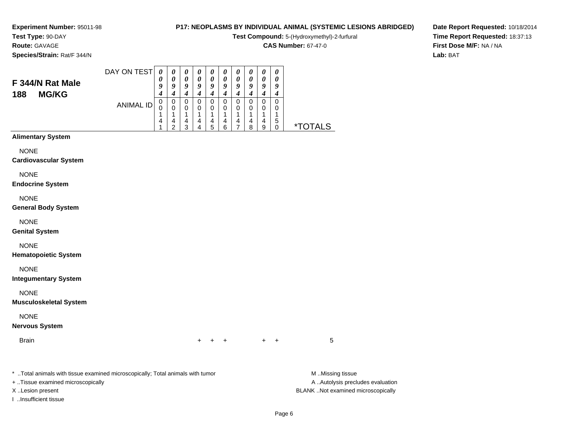#### **Test Type:** 90-DAY**Route:** GAVAGE

**Species/Strain:** Rat/F 344/N

## **P17: NEOPLASMS BY INDIVIDUAL ANIMAL (SYSTEMIC LESIONS ABRIDGED)**

**Test Compound:** 5-(Hydroxymethyl)-2-furfural

**CAS Number:** 67-47-0

**Date Report Requested:** 10/18/2014**Time Report Requested:** 18:37:13**First Dose M/F:** NA / NA**Lab:** BAT

| F 344/N Rat Male<br><b>MG/KG</b><br>188 | DAY ON TEST      | O           | 0<br>Q | u | o           | а      | U<br>0<br>o      | U<br>u           | U<br>0<br>9      | U<br>g      | 0<br>0<br>9<br>4 |     |
|-----------------------------------------|------------------|-------------|--------|---|-------------|--------|------------------|------------------|------------------|-------------|------------------|-----|
|                                         | <b>ANIMAL ID</b> | 0<br>U<br>4 | 0<br>4 | 4 | 0<br>0<br>4 | 0<br>4 | 0<br>0<br>л<br>4 | 0<br>O<br>٠<br>4 | 0<br>0<br>×<br>4 | 0<br>0<br>4 | 0<br>0<br>5      |     |
|                                         |                  |             | ົ      | ◠ | 4           | b      | 6                |                  | 8                | 9           | 0                | ALS |

### **Alimentary System**

NONE

#### **Cardiovascular System**

NONE

#### **Endocrine System**

NONE

#### **General Body System**

NONE

#### **Genital System**

NONE

#### **Hematopoietic System**

NONE

#### **Integumentary System**

NONE

#### **Musculoskeletal System**

NONE

#### **Nervous System**

**Brain** 

n  $+$ <sup>+</sup> <sup>+</sup> <sup>+</sup> <sup>+</sup> <sup>5</sup>

\* ..Total animals with tissue examined microscopically; Total animals with tumor **M** ..Missing tissue M ..Missing tissue

+ ..Tissue examined microscopically

I ..Insufficient tissue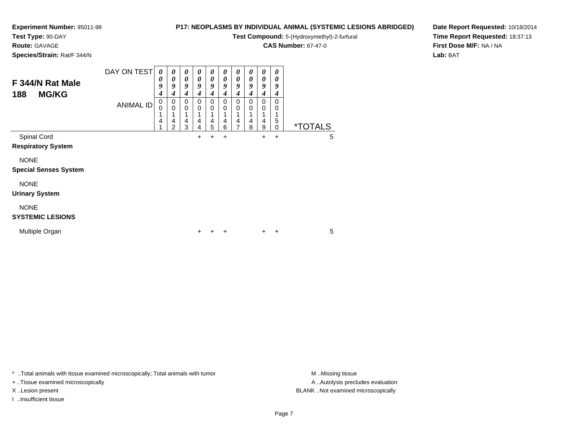**Test Type:** 90-DAY

**Route:** GAVAGE

**Species/Strain:** Rat/F 344/N

## **P17: NEOPLASMS BY INDIVIDUAL ANIMAL (SYSTEMIC LESIONS ABRIDGED)**

**Test Compound:** 5-(Hydroxymethyl)-2-furfural

**CAS Number:** 67-47-0

**Date Report Requested:** 10/18/2014**Time Report Requested:** 18:37:13**First Dose M/F:** NA / NA**Lab:** BAT

| F 344/N Rat Male<br><b>MG/KG</b><br>188     | DAY ON TEST<br><b>ANIMAL ID</b> | $\boldsymbol{\theta}$<br>0<br>9<br>4<br>0<br>0<br>4 | $\boldsymbol{\theta}$<br>$\boldsymbol{\theta}$<br>9<br>4<br>0<br>$\mathbf 0$<br>1<br>4<br>$\overline{2}$ | 0<br>0<br>9<br>4<br>0<br>0<br>4<br>3 | $\boldsymbol{\theta}$<br>$\boldsymbol{\theta}$<br>9<br>4<br>0<br>$\mathbf 0$<br>4<br>4 | $\boldsymbol{\theta}$<br>0<br>9<br>4<br>0<br>0<br>4<br>5 | 0<br>$\boldsymbol{\theta}$<br>9<br>4<br>$\mathbf 0$<br>0<br>1<br>4<br>6 | 0<br>0<br>9<br>4<br>0<br>0<br>4<br>7 | 0<br>0<br>9<br>4<br>0<br>0<br>4<br>8 | 0<br>0<br>9<br>4<br>0<br>0<br>4<br>9 | 0<br>0<br>9<br>4<br>0<br>0<br>5<br>0 | <i><b>*TOTALS</b></i> |  |
|---------------------------------------------|---------------------------------|-----------------------------------------------------|----------------------------------------------------------------------------------------------------------|--------------------------------------|----------------------------------------------------------------------------------------|----------------------------------------------------------|-------------------------------------------------------------------------|--------------------------------------|--------------------------------------|--------------------------------------|--------------------------------------|-----------------------|--|
| Spinal Cord<br><b>Respiratory System</b>    |                                 |                                                     |                                                                                                          |                                      | +                                                                                      | $\pm$                                                    | +                                                                       |                                      |                                      | $\pm$                                | $\ddot{}$                            | 5                     |  |
| <b>NONE</b><br><b>Special Senses System</b> |                                 |                                                     |                                                                                                          |                                      |                                                                                        |                                                          |                                                                         |                                      |                                      |                                      |                                      |                       |  |
| <b>NONE</b><br><b>Urinary System</b>        |                                 |                                                     |                                                                                                          |                                      |                                                                                        |                                                          |                                                                         |                                      |                                      |                                      |                                      |                       |  |
| <b>NONE</b><br><b>SYSTEMIC LESIONS</b>      |                                 |                                                     |                                                                                                          |                                      |                                                                                        |                                                          |                                                                         |                                      |                                      |                                      |                                      |                       |  |
| Multiple Organ                              |                                 |                                                     |                                                                                                          |                                      | +                                                                                      |                                                          | +                                                                       |                                      |                                      | $\pm$                                | +                                    | 5                     |  |

\* ..Total animals with tissue examined microscopically; Total animals with tumor **M** . Missing tissue M ..Missing tissue

+ ..Tissue examined microscopically

I ..Insufficient tissue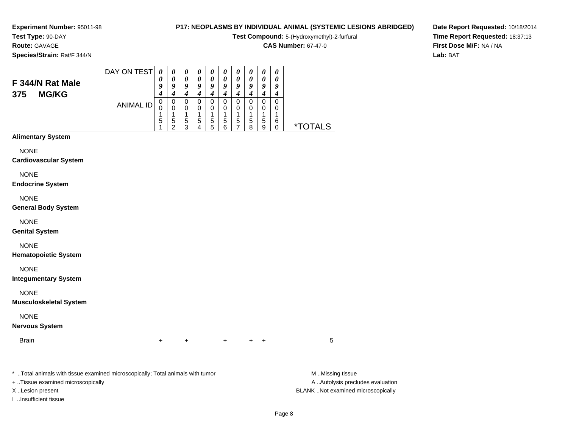#### **Test Type:** 90-DAY**Route:** GAVAGE

**Species/Strain:** Rat/F 344/N

## **P17: NEOPLASMS BY INDIVIDUAL ANIMAL (SYSTEMIC LESIONS ABRIDGED)**

**Test Compound:** 5-(Hydroxymethyl)-2-furfural

**CAS Number:** 67-47-0

**Date Report Requested:** 10/18/2014**Time Report Requested:** 18:37:13**First Dose M/F:** NA / NA**Lab:** BAT

| F 344/N Rat Male<br><b>MG/KG</b><br>375 | DAY ON TEST      | o           | 0<br>а      | u      | 0<br>о      |   | U<br>0<br>u<br>4 | U<br>u      | 0<br>0<br>Q<br>4 | U<br>0<br>o      | 0<br>0<br>9<br>4 |     |
|-----------------------------------------|------------------|-------------|-------------|--------|-------------|---|------------------|-------------|------------------|------------------|------------------|-----|
|                                         | <b>ANIMAL ID</b> | 0<br>U<br>5 | 0<br>5<br>ົ | 5<br>◠ | 0<br>0<br>5 | 5 | 0<br>0<br>5<br>6 | O<br>л<br>5 | 0<br>0<br>5<br>8 | 0<br>0<br>5<br>9 | 0<br>0<br>6<br>0 | ALS |

## **Alimentary System**

NONE

#### **Cardiovascular System**

NONE

**Endocrine System**

#### NONE

**General Body System**

### NONE

**Genital System**

## NONE

**Hematopoietic System**

#### NONE

**Integumentary System**

#### NONE

**Musculoskeletal System**

## NONE

#### **Nervous System**

**Brain** n  $+$ 

<sup>+</sup> <sup>+</sup> <sup>+</sup> <sup>+</sup> <sup>5</sup>

\* ..Total animals with tissue examined microscopically; Total animals with tumor **M** ..Missing tissue M ..Missing tissue

+ ..Tissue examined microscopically

I ..Insufficient tissue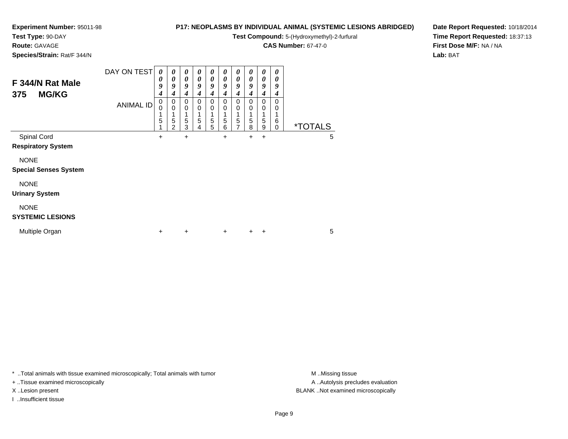## **Test Type:** 90-DAY

**Route:** GAVAGE

**Species/Strain:** Rat/F 344/N

## **P17: NEOPLASMS BY INDIVIDUAL ANIMAL (SYSTEMIC LESIONS ABRIDGED)**

**Test Compound:** 5-(Hydroxymethyl)-2-furfural

**CAS Number:** 67-47-0

**Date Report Requested:** 10/18/2014**Time Report Requested:** 18:37:13**First Dose M/F:** NA / NA**Lab:** BAT

| F 344/N Rat Male<br><b>MG/KG</b><br>375     | DAY ON TEST      | $\boldsymbol{\theta}$<br>0<br>9<br>4 | $\boldsymbol{\theta}$<br>$\boldsymbol{\theta}$<br>9<br>$\boldsymbol{4}$ | 0<br>0<br>9<br>4 | 0<br>0<br>9<br>4           | 0<br>0<br>9<br>4 | 0<br>$\boldsymbol{\theta}$<br>9<br>$\boldsymbol{4}$ | 0<br>$\pmb{\theta}$<br>9<br>4 | 0<br>0<br>9<br>4 | 0<br>$\boldsymbol{\theta}$<br>9<br>4 | 0<br>0<br>9<br>4 |                       |   |
|---------------------------------------------|------------------|--------------------------------------|-------------------------------------------------------------------------|------------------|----------------------------|------------------|-----------------------------------------------------|-------------------------------|------------------|--------------------------------------|------------------|-----------------------|---|
|                                             | <b>ANIMAL ID</b> | 0<br>$\mathbf 0$<br>5                | $\pmb{0}$<br>$\mathbf 0$<br>1<br>5<br>$\overline{2}$                    | 0<br>0<br>5<br>3 | $\mathbf 0$<br>0<br>5<br>4 | 0<br>0<br>5<br>5 | 0<br>0<br>1<br>5<br>6                               | 0<br>0<br>5<br>$\overline{7}$ | 0<br>0<br>5<br>8 | $\Omega$<br>0<br>5<br>9              | 0<br>0<br>6<br>0 | <i><b>*TOTALS</b></i> |   |
| Spinal Cord<br><b>Respiratory System</b>    |                  | +                                    |                                                                         | +                |                            |                  | +                                                   |                               | +                | $\ddot{}$                            |                  |                       | 5 |
| <b>NONE</b><br><b>Special Senses System</b> |                  |                                      |                                                                         |                  |                            |                  |                                                     |                               |                  |                                      |                  |                       |   |
| <b>NONE</b><br><b>Urinary System</b>        |                  |                                      |                                                                         |                  |                            |                  |                                                     |                               |                  |                                      |                  |                       |   |
| <b>NONE</b><br><b>SYSTEMIC LESIONS</b>      |                  |                                      |                                                                         |                  |                            |                  |                                                     |                               |                  |                                      |                  |                       |   |
| Multiple Organ                              |                  | $\ddot{}$                            |                                                                         | $\ddot{}$        |                            |                  | $\ddot{}$                                           |                               | $\pm$            | $\ddot{}$                            |                  |                       | 5 |

\* ..Total animals with tissue examined microscopically; Total animals with tumor **M** . Missing tissue M ..Missing tissue

+ ..Tissue examined microscopically

I ..Insufficient tissue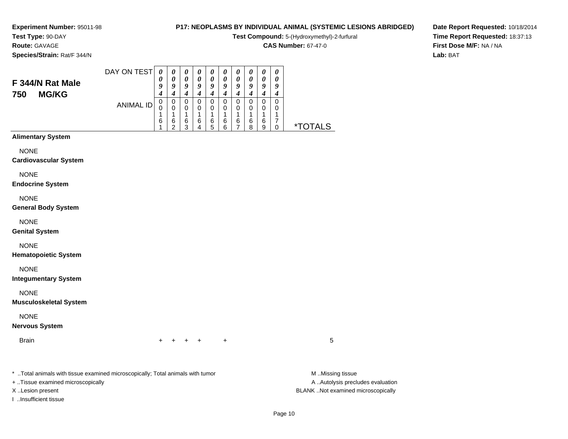#### **Test Type:** 90-DAY**Route:** GAVAGE

**F 344/N Rat Male750 MG/KG**

**Species/Strain:** Rat/F 344/N

## **P17: NEOPLASMS BY INDIVIDUAL ANIMAL (SYSTEMIC LESIONS ABRIDGED)**

**Test Compound:** 5-(Hydroxymethyl)-2-furfural

**CAS Number:** 67-47-0

**Date Report Requested:** 10/18/2014**Time Report Requested:** 18:37:13**First Dose M/F:** NA / NA**Lab:** BAT

| DAY ON TEST      | 0 | 0 |                       | U | 0 | 0 | 0 | $\boldsymbol{\theta}$ | U  | 0 |  |
|------------------|---|---|-----------------------|---|---|---|---|-----------------------|----|---|--|
|                  | U |   | $\boldsymbol{\theta}$ |   | 0 | 0 | 0 | 0                     | 0  | 0 |  |
|                  | Q | Q | u                     | 9 | g | 9 | 9 | 9                     | q  | g |  |
|                  |   |   |                       |   |   | 4 | 4 | 4                     | -, | 4 |  |
| <b>ANIMAL ID</b> | 0 |   |                       | O | 0 | 0 | 0 | 0                     | 0  |   |  |
|                  | 0 |   | O                     | O | 0 | 0 | 0 | 0                     | 0  |   |  |
|                  |   |   |                       | л | и | л | л | 4                     | ×  |   |  |
|                  | 6 | 6 | 6                     | 6 | 6 | 6 | 6 | 6                     | 6  |   |  |
|                  |   | ົ | ົ                     |   | 5 | 6 | ⇁ | 8                     | 9  |   |  |

### **Alimentary System**

NONE

#### **Cardiovascular System**

NONE

#### **Endocrine System**

NONE

#### **General Body System**

NONE

#### **Genital System**

NONE

#### **Hematopoietic System**

NONE

#### **Integumentary System**

NONE

#### **Musculoskeletal System**

NONE

### **Nervous System**

**Brain** n  $+$ 

<sup>+</sup> <sup>+</sup> <sup>+</sup> <sup>+</sup> <sup>5</sup>

\* ..Total animals with tissue examined microscopically; Total animals with tumor **M** ..Missing tissue M ..Missing tissue

+ ..Tissue examined microscopically

I ..Insufficient tissue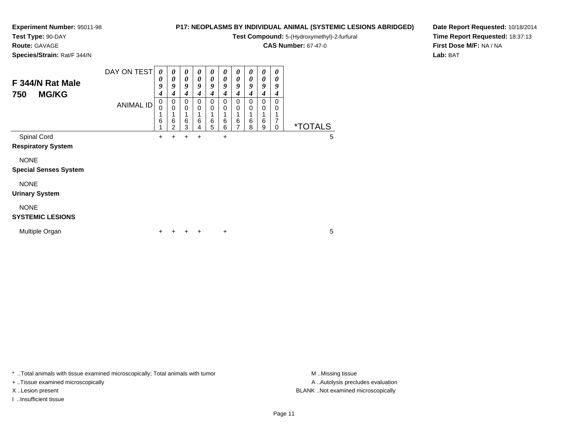# **Test Type:** 90-DAY

**Route:** GAVAGE

**Species/Strain:** Rat/F 344/N

## **P17: NEOPLASMS BY INDIVIDUAL ANIMAL (SYSTEMIC LESIONS ABRIDGED)**

**Test Compound:** 5-(Hydroxymethyl)-2-furfural

**CAS Number:** 67-47-0

**Date Report Requested:** 10/18/2014**Time Report Requested:** 18:37:13**First Dose M/F:** NA / NA**Lab:** BAT

| F 344/N Rat Male<br><b>MG/KG</b><br>750     | DAY ON TEST<br><b>ANIMAL ID</b> | 0<br>0<br>9<br>4<br>0<br>0<br>6 | 0<br>$\boldsymbol{\theta}$<br>9<br>4<br>0<br>$\Omega$ | 0<br>$\boldsymbol{\theta}$<br>9<br>4<br>0<br>0<br>1<br>$6\phantom{1}6$ | 0<br>$\boldsymbol{\theta}$<br>9<br>4<br>0<br>0 | 0<br>$\boldsymbol{\theta}$<br>9<br>4<br>0<br>0 | 0<br>$\boldsymbol{\theta}$<br>9<br>4<br>0<br>0<br>6 | 0<br>0<br>9<br>4<br>0<br>0<br>1 | 0<br>$\boldsymbol{\theta}$<br>9<br>$\boldsymbol{4}$<br>0<br>0<br>1 | 0<br>0<br>9<br>4<br>0<br>0 | 0<br>0<br>9<br>4<br>0<br>0<br>1<br>$\overline{7}$ |                       |   |
|---------------------------------------------|---------------------------------|---------------------------------|-------------------------------------------------------|------------------------------------------------------------------------|------------------------------------------------|------------------------------------------------|-----------------------------------------------------|---------------------------------|--------------------------------------------------------------------|----------------------------|---------------------------------------------------|-----------------------|---|
|                                             |                                 |                                 | 6<br>2                                                | 3                                                                      | 6<br>4                                         | 6<br>5                                         | 6                                                   | 6<br>7                          | $\,6$<br>8                                                         | $6\phantom{1}6$<br>9       | 0                                                 | <i><b>*TOTALS</b></i> |   |
| Spinal Cord<br><b>Respiratory System</b>    |                                 | +                               | +                                                     | ٠                                                                      | $\ddot{}$                                      |                                                | $\ddot{}$                                           |                                 |                                                                    |                            |                                                   |                       | 5 |
| <b>NONE</b><br><b>Special Senses System</b> |                                 |                                 |                                                       |                                                                        |                                                |                                                |                                                     |                                 |                                                                    |                            |                                                   |                       |   |
| <b>NONE</b><br><b>Urinary System</b>        |                                 |                                 |                                                       |                                                                        |                                                |                                                |                                                     |                                 |                                                                    |                            |                                                   |                       |   |
| <b>NONE</b><br><b>SYSTEMIC LESIONS</b>      |                                 |                                 |                                                       |                                                                        |                                                |                                                |                                                     |                                 |                                                                    |                            |                                                   |                       |   |
| Multiple Organ                              |                                 | +                               |                                                       |                                                                        | ÷                                              |                                                | $\ddot{}$                                           |                                 |                                                                    |                            |                                                   |                       | 5 |

\* ..Total animals with tissue examined microscopically; Total animals with tumor **M** . Missing tissue M ..Missing tissue

+ ..Tissue examined microscopically

I ..Insufficient tissue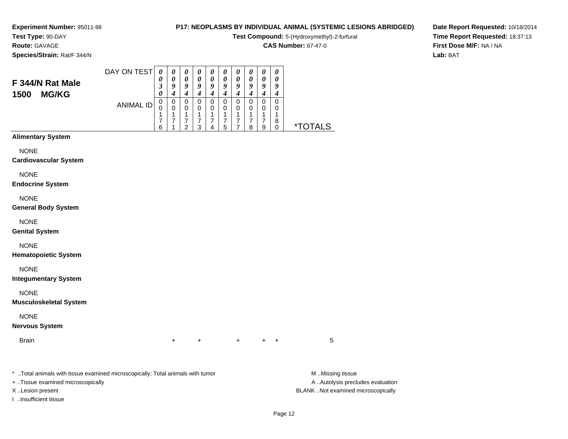# **Test Type:** 90-DAY

**F 344/N Rat Male1500 MG/KG**

**Route:** GAVAGE

**Species/Strain:** Rat/F 344/N

## **P17: NEOPLASMS BY INDIVIDUAL ANIMAL (SYSTEMIC LESIONS ABRIDGED)**

**Test Compound:** 5-(Hydroxymethyl)-2-furfural

**CAS Number:** 67-47-0

**Date Report Requested:** 10/18/2014**Time Report Requested:** 18:37:13**First Dose M/F:** NA / NA**Lab:** BAT

| DAY ON TEST      | 0 | 0 | 0 | $\boldsymbol{\theta}$ | $\boldsymbol{\theta}$ | U | $\boldsymbol{\theta}$ | 0 | 0 | 0 |    |
|------------------|---|---|---|-----------------------|-----------------------|---|-----------------------|---|---|---|----|
|                  | 0 | 0 | 0 | 0                     | 0                     | 0 | 0                     | 0 | 0 | 0 |    |
|                  | 3 | 9 | 9 | 9                     | 9                     | 9 | 9                     | 9 | 9 | 9 |    |
|                  | 0 | 4 |   | 4                     | 4                     | 4 | 4                     | 4 | 4 |   |    |
| <b>ANIMAL ID</b> | 0 | 0 | 0 | 0                     | 0                     | 0 | 0                     | 0 | 0 | 0 |    |
|                  | 0 | 0 | 0 | 0                     | 0                     | 0 | 0                     | 0 | 0 | 0 |    |
|                  | и | и | и | 4                     | ◢                     | и | и                     | и | л | л |    |
|                  |   |   | ⇁ |                       |                       |   |                       |   |   | 8 |    |
|                  | 6 | ٠ | ◠ | 3                     | Δ                     | 5 |                       | 8 | 9 |   | *. |

## **Alimentary System**

NONE

**Cardiovascular System**

NONE

**Endocrine System**

NONE

**General Body System**

NONE

**Genital System**

NONE

**Hematopoietic System**

NONE

**Integumentary System**

NONE

**Musculoskeletal System**

NONE

**Nervous System**

**Brain** n  $+$ 

<sup>+</sup> <sup>+</sup> <sup>+</sup> <sup>+</sup> <sup>5</sup>

\* ..Total animals with tissue examined microscopically; Total animals with tumor **M** ..Missing tissue M ..Missing tissue

+ ..Tissue examined microscopically

I ..Insufficient tissue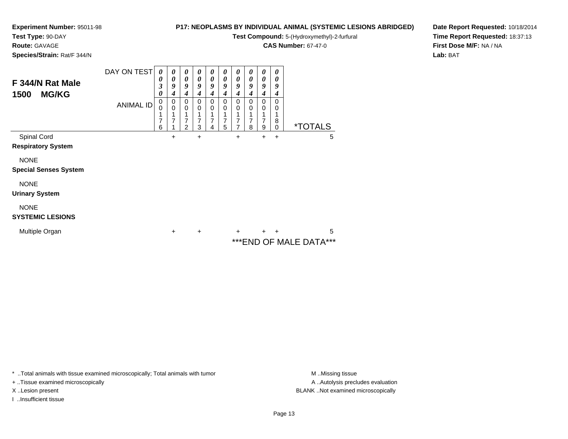**Test Type:** 90-DAY

**Route:** GAVAGE

## **Species/Strain:** Rat/F 344/N

## **P17: NEOPLASMS BY INDIVIDUAL ANIMAL (SYSTEMIC LESIONS ABRIDGED)**

**Test Compound:** 5-(Hydroxymethyl)-2-furfural

**CAS Number:** 67-47-0

**Date Report Requested:** 10/18/2014**Time Report Requested:** 18:37:13**First Dose M/F:** NA / NA**Lab:** BAT

| F 344/N Rat Male<br><b>MG/KG</b><br>1500    | DAY ON TEST<br><b>ANIMAL ID</b> | 0<br>0<br>3<br>0<br>0<br>0<br>7<br>6 | 0<br>0<br>9<br>4<br>0<br>0<br>1<br>7 | 0<br>0<br>9<br>4<br>0<br>0<br>7<br>2 | $\boldsymbol{\theta}$<br>0<br>9<br>4<br>$\mathbf 0$<br>0<br>7<br>3 | 0<br>0<br>9<br>4<br>0<br>0<br>$\overline{7}$<br>4 | $\boldsymbol{\theta}$<br>$\boldsymbol{\theta}$<br>9<br>4<br>$\Omega$<br>0<br>7<br>5 | 0<br>0<br>9<br>4<br>0<br>0<br>7<br>7 | 0<br>0<br>9<br>4<br>0<br>0<br>7<br>8 | 0<br>0<br>9<br>4<br>0<br>0<br>7<br>9 | 0<br>0<br>9<br>4<br>0<br>0<br>1<br>8<br>$\mathbf 0$ | <i><b>*TOTALS</b></i>   |   |
|---------------------------------------------|---------------------------------|--------------------------------------|--------------------------------------|--------------------------------------|--------------------------------------------------------------------|---------------------------------------------------|-------------------------------------------------------------------------------------|--------------------------------------|--------------------------------------|--------------------------------------|-----------------------------------------------------|-------------------------|---|
| Spinal Cord<br><b>Respiratory System</b>    |                                 |                                      | $\ddot{}$                            |                                      | $\ddot{}$                                                          |                                                   |                                                                                     | $\ddot{}$                            |                                      | +                                    | +                                                   |                         | 5 |
| <b>NONE</b><br><b>Special Senses System</b> |                                 |                                      |                                      |                                      |                                                                    |                                                   |                                                                                     |                                      |                                      |                                      |                                                     |                         |   |
| <b>NONE</b><br><b>Urinary System</b>        |                                 |                                      |                                      |                                      |                                                                    |                                                   |                                                                                     |                                      |                                      |                                      |                                                     |                         |   |
| <b>NONE</b><br><b>SYSTEMIC LESIONS</b>      |                                 |                                      |                                      |                                      |                                                                    |                                                   |                                                                                     |                                      |                                      |                                      |                                                     |                         |   |
| Multiple Organ                              |                                 |                                      | $\ddot{}$                            |                                      | $\ddot{}$                                                          |                                                   |                                                                                     | $\ddot{}$                            |                                      | $\ddot{}$                            | $\ddot{}$                                           | *** END OF MALE DATA*** | 5 |

\* ..Total animals with tissue examined microscopically; Total animals with tumor **M** . Missing tissue M ..Missing tissue

+ ..Tissue examined microscopically

I ..Insufficient tissue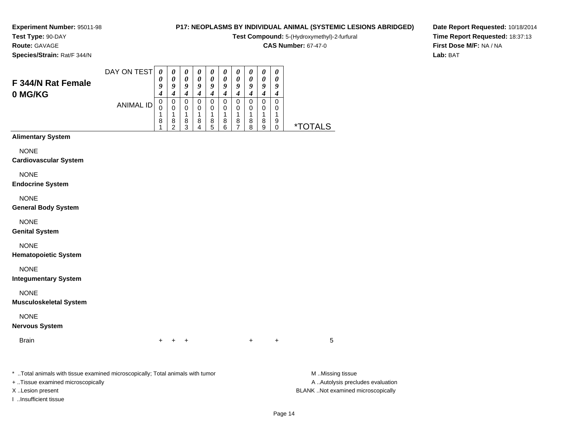## **Test Type:** 90-DAY**Route:** GAVAGE

**Species/Strain:** Rat/F 344/N

## **P17: NEOPLASMS BY INDIVIDUAL ANIMAL (SYSTEMIC LESIONS ABRIDGED)**

**Test Compound:** 5-(Hydroxymethyl)-2-furfural

**CAS Number:** 67-47-0

**Date Report Requested:** 10/18/2014**Time Report Requested:** 18:37:13**First Dose M/F:** NA / NA**Lab:** BAT

|                                              | DAY ON TEST      | $\boldsymbol{\theta}$      | $\pmb{\theta}$      | $\pmb{\theta}$                     | $\boldsymbol{\theta}$ | $\boldsymbol{\theta}$ | $\boldsymbol{\theta}$              | 0                                  | $\pmb{\theta}$                     | $\boldsymbol{\theta}$ | $\boldsymbol{\theta}$      |                       |  |
|----------------------------------------------|------------------|----------------------------|---------------------|------------------------------------|-----------------------|-----------------------|------------------------------------|------------------------------------|------------------------------------|-----------------------|----------------------------|-----------------------|--|
| F 344/N Rat Female                           |                  | $\boldsymbol{\theta}$<br>9 | $\pmb{\theta}$<br>9 | $\pmb{\theta}$<br>$\boldsymbol{g}$ | $\pmb{\theta}$<br>9   | $\pmb{\theta}$<br>9   | $\pmb{\theta}$<br>$\boldsymbol{g}$ | $\pmb{\theta}$<br>$\boldsymbol{g}$ | $\pmb{\theta}$<br>$\boldsymbol{g}$ | $\pmb{\theta}$<br>9   | $\boldsymbol{\theta}$<br>9 |                       |  |
| 0 MG/KG                                      |                  | 4                          | $\boldsymbol{4}$    | $\boldsymbol{4}$                   | $\boldsymbol{4}$      | $\boldsymbol{4}$      | $\boldsymbol{4}$                   | $\boldsymbol{4}$                   | $\boldsymbol{4}$                   | $\boldsymbol{4}$      | $\boldsymbol{4}$           |                       |  |
|                                              | <b>ANIMAL ID</b> | $\mathbf 0$<br>0           | $\pmb{0}$<br>0      | $\pmb{0}$<br>$\pmb{0}$             | $\mathbf 0$<br>0      | $\pmb{0}$<br>0        | $\pmb{0}$<br>0                     | $\pmb{0}$<br>0                     | $\pmb{0}$<br>0                     | 0<br>0                | $\pmb{0}$<br>0             |                       |  |
|                                              |                  | 1<br>8                     | 1<br>8              | 1<br>$\bf8$                        | 1<br>8                | 1<br>$\bf8$           | 1<br>$\bf 8$                       | 1<br>8                             | 1<br>$\bf8$                        | 1<br>8                | 1<br>9                     |                       |  |
|                                              |                  | 1                          | $\overline{2}$      | 3                                  | 4                     | 5                     | 6                                  | $\overline{7}$                     | 8                                  | 9                     | 0                          | <i><b>*TOTALS</b></i> |  |
| <b>Alimentary System</b>                     |                  |                            |                     |                                    |                       |                       |                                    |                                    |                                    |                       |                            |                       |  |
| <b>NONE</b><br><b>Cardiovascular System</b>  |                  |                            |                     |                                    |                       |                       |                                    |                                    |                                    |                       |                            |                       |  |
| <b>NONE</b><br><b>Endocrine System</b>       |                  |                            |                     |                                    |                       |                       |                                    |                                    |                                    |                       |                            |                       |  |
| <b>NONE</b><br><b>General Body System</b>    |                  |                            |                     |                                    |                       |                       |                                    |                                    |                                    |                       |                            |                       |  |
| <b>NONE</b><br><b>Genital System</b>         |                  |                            |                     |                                    |                       |                       |                                    |                                    |                                    |                       |                            |                       |  |
| <b>NONE</b><br><b>Hematopoietic System</b>   |                  |                            |                     |                                    |                       |                       |                                    |                                    |                                    |                       |                            |                       |  |
| <b>NONE</b><br><b>Integumentary System</b>   |                  |                            |                     |                                    |                       |                       |                                    |                                    |                                    |                       |                            |                       |  |
| <b>NONE</b><br><b>Musculoskeletal System</b> |                  |                            |                     |                                    |                       |                       |                                    |                                    |                                    |                       |                            |                       |  |
| <b>NONE</b><br><b>Nervous System</b>         |                  |                            |                     |                                    |                       |                       |                                    |                                    |                                    |                       |                            |                       |  |
| <b>Brain</b>                                 |                  | ٠                          |                     | +                                  |                       |                       |                                    |                                    | +                                  |                       | $\ddot{}$                  | 5                     |  |

\* ..Total animals with tissue examined microscopically; Total animals with tumor **M** . Missing tissue M ..Missing tissue + ..Tissue examined microscopically X ..Lesion present BLANK ..Not examined microscopically

I ..Insufficient tissue

A ..Autolysis precludes evaluation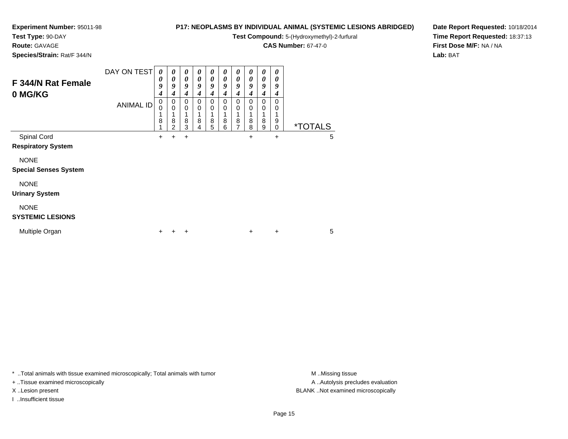**Test Type:** 90-DAY

**Route:** GAVAGE

**Species/Strain:** Rat/F 344/N

## **P17: NEOPLASMS BY INDIVIDUAL ANIMAL (SYSTEMIC LESIONS ABRIDGED)**

**Test Compound:** 5-(Hydroxymethyl)-2-furfural

**CAS Number:** 67-47-0

**Date Report Requested:** 10/18/2014**Time Report Requested:** 18:37:13**First Dose M/F:** NA / NA**Lab:** BAT

| F 344/N Rat Female<br>0 MG/KG                                                           | DAY ON TEST<br><b>ANIMAL ID</b> | 0<br>0<br>9<br>4<br>$\pmb{0}$<br>0<br>1<br>8 | 0<br>0<br>9<br>4<br>0<br>0<br>8 | 0<br>0<br>9<br>4<br>0<br>$\mathbf 0$<br>8 | 0<br>0<br>9<br>4<br>$\Omega$<br>0<br>8 | 0<br>$\boldsymbol{\theta}$<br>$\boldsymbol{g}$<br>4<br>$\Omega$<br>0<br>8 | 0<br>0<br>9<br>4<br>$\Omega$<br>0<br>1<br>8 | 0<br>0<br>9<br>4<br>0<br>0<br>8 | 0<br>0<br>9<br>4<br>0<br>0<br>8 | 0<br>0<br>9<br>4<br>0<br>0<br>1<br>8 | 0<br>0<br>9<br>4<br>0<br>0<br>1<br>9 |                            |
|-----------------------------------------------------------------------------------------|---------------------------------|----------------------------------------------|---------------------------------|-------------------------------------------|----------------------------------------|---------------------------------------------------------------------------|---------------------------------------------|---------------------------------|---------------------------------|--------------------------------------|--------------------------------------|----------------------------|
| Spinal Cord<br><b>Respiratory System</b><br><b>NONE</b><br><b>Special Senses System</b> |                                 | 4<br>$\ddot{}$                               | $\overline{2}$<br>٠             | 3<br>$\ddot{}$                            | 4                                      | 5                                                                         | 6                                           | $\overline{7}$                  | 8<br>+                          | 9                                    | $\mathbf 0$<br>$\ddot{}$             | <i><b>*TOTALS</b></i><br>5 |
| <b>NONE</b><br><b>Urinary System</b><br><b>NONE</b><br><b>SYSTEMIC LESIONS</b>          |                                 |                                              |                                 |                                           |                                        |                                                                           |                                             |                                 |                                 |                                      |                                      |                            |
| Multiple Organ                                                                          |                                 | ÷                                            |                                 | ÷                                         |                                        |                                                                           |                                             |                                 | $\ddot{}$                       |                                      | $\ddot{}$                            | 5                          |

\* ..Total animals with tissue examined microscopically; Total animals with tumor **M** . Missing tissue M ..Missing tissue

+ ..Tissue examined microscopically

I ..Insufficient tissue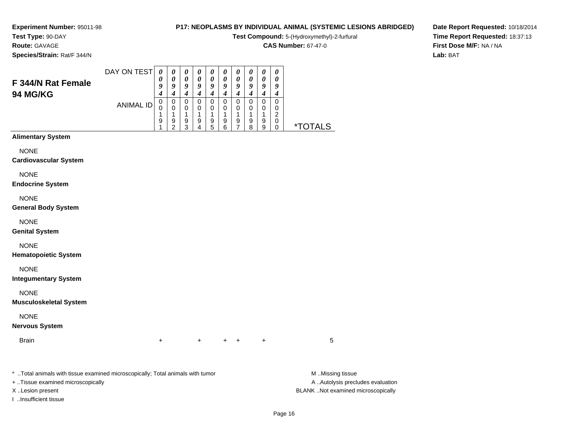# **Test Type:** 90-DAY

**Route:** GAVAGE

**Species/Strain:** Rat/F 344/N

## **P17: NEOPLASMS BY INDIVIDUAL ANIMAL (SYSTEMIC LESIONS ABRIDGED)**

**Test Compound:** 5-(Hydroxymethyl)-2-furfural

**CAS Number:** 67-47-0

**Date Report Requested:** 10/18/2014**Time Report Requested:** 18:37:13**First Dose M/F:** NA / NA**Lab:** BAT

|                                                                                | DAY ON TEST      | $\boldsymbol{\theta}$                | $\boldsymbol{\theta}$                                                      | $\boldsymbol{\theta}$                             | 0                                                                | $\boldsymbol{\theta}$                                          | $\boldsymbol{\theta}$                                          | $\boldsymbol{\theta}$                                            | 0                                                            | $\pmb{\theta}$                                               | 0                                                                            |                       |
|--------------------------------------------------------------------------------|------------------|--------------------------------------|----------------------------------------------------------------------------|---------------------------------------------------|------------------------------------------------------------------|----------------------------------------------------------------|----------------------------------------------------------------|------------------------------------------------------------------|--------------------------------------------------------------|--------------------------------------------------------------|------------------------------------------------------------------------------|-----------------------|
| F 344/N Rat Female                                                             |                  | 0<br>9                               | $\pmb{\theta}$<br>9                                                        | 0<br>9                                            | $\boldsymbol{\theta}$<br>9                                       | 0<br>9                                                         | $\pmb{\theta}$<br>$\pmb{9}$                                    | $\boldsymbol{\theta}$<br>9                                       | 0<br>9                                                       | $\boldsymbol{\theta}$<br>9                                   | 0<br>9                                                                       |                       |
| 94 MG/KG                                                                       | <b>ANIMAL ID</b> | 4<br>$\mathbf 0$<br>0<br>1<br>9<br>1 | $\boldsymbol{4}$<br>$\mathbf 0$<br>$\mathbf 0$<br>1<br>9<br>$\overline{2}$ | $\boldsymbol{4}$<br>$\pmb{0}$<br>0<br>1<br>9<br>3 | $\boldsymbol{4}$<br>$\mathbf 0$<br>0<br>1<br>9<br>$\overline{4}$ | $\boldsymbol{4}$<br>$\mathbf 0$<br>0<br>$\mathbf{1}$<br>9<br>5 | $\boldsymbol{4}$<br>$\pmb{0}$<br>0<br>1<br>9<br>$6\phantom{1}$ | $\boldsymbol{4}$<br>$\mathbf 0$<br>0<br>1<br>9<br>$\overline{7}$ | $\boldsymbol{4}$<br>$\pmb{0}$<br>0<br>$\mathbf{1}$<br>9<br>8 | $\boldsymbol{4}$<br>$\pmb{0}$<br>0<br>$\mathbf{1}$<br>9<br>9 | $\boldsymbol{4}$<br>$\pmb{0}$<br>0<br>$\sqrt{2}$<br>$\pmb{0}$<br>$\mathbf 0$ | <i><b>*TOTALS</b></i> |
| <b>Alimentary System</b>                                                       |                  |                                      |                                                                            |                                                   |                                                                  |                                                                |                                                                |                                                                  |                                                              |                                                              |                                                                              |                       |
| <b>NONE</b><br><b>Cardiovascular System</b>                                    |                  |                                      |                                                                            |                                                   |                                                                  |                                                                |                                                                |                                                                  |                                                              |                                                              |                                                                              |                       |
| <b>NONE</b><br><b>Endocrine System</b>                                         |                  |                                      |                                                                            |                                                   |                                                                  |                                                                |                                                                |                                                                  |                                                              |                                                              |                                                                              |                       |
| <b>NONE</b><br><b>General Body System</b>                                      |                  |                                      |                                                                            |                                                   |                                                                  |                                                                |                                                                |                                                                  |                                                              |                                                              |                                                                              |                       |
| <b>NONE</b><br><b>Genital System</b>                                           |                  |                                      |                                                                            |                                                   |                                                                  |                                                                |                                                                |                                                                  |                                                              |                                                              |                                                                              |                       |
| <b>NONE</b><br><b>Hematopoietic System</b>                                     |                  |                                      |                                                                            |                                                   |                                                                  |                                                                |                                                                |                                                                  |                                                              |                                                              |                                                                              |                       |
| <b>NONE</b><br><b>Integumentary System</b>                                     |                  |                                      |                                                                            |                                                   |                                                                  |                                                                |                                                                |                                                                  |                                                              |                                                              |                                                                              |                       |
| <b>NONE</b><br><b>Musculoskeletal System</b>                                   |                  |                                      |                                                                            |                                                   |                                                                  |                                                                |                                                                |                                                                  |                                                              |                                                              |                                                                              |                       |
| <b>NONE</b><br><b>Nervous System</b>                                           |                  |                                      |                                                                            |                                                   |                                                                  |                                                                |                                                                |                                                                  |                                                              |                                                              |                                                                              |                       |
| <b>Brain</b>                                                                   |                  | $\ddot{}$                            |                                                                            |                                                   | $+$                                                              |                                                                | $\ddot{}$                                                      | $\ddot{}$                                                        |                                                              | $\ddot{}$                                                    |                                                                              | 5                     |
| * Total animals with tissue examined microscopically; Total animals with tumor |                  |                                      |                                                                            |                                                   |                                                                  |                                                                |                                                                |                                                                  |                                                              |                                                              |                                                                              | M Missing tissue      |

+ ..Tissue examined microscopically

I ..Insufficient tissue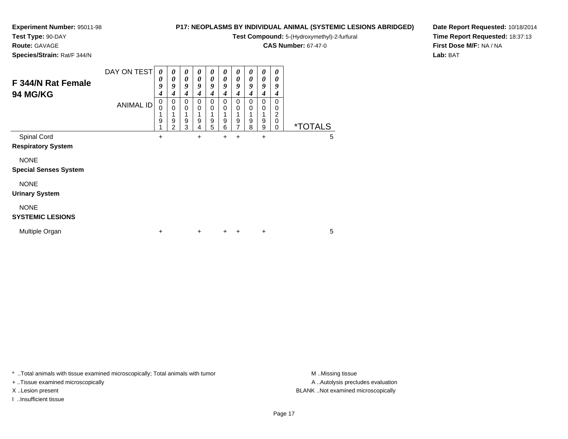## **Test Type:** 90-DAY

**Route:** GAVAGE

**Species/Strain:** Rat/F 344/N

## **P17: NEOPLASMS BY INDIVIDUAL ANIMAL (SYSTEMIC LESIONS ABRIDGED)**

**Test Compound:** 5-(Hydroxymethyl)-2-furfural

**CAS Number:** 67-47-0

**Date Report Requested:** 10/18/2014**Time Report Requested:** 18:37:13**First Dose M/F:** NA / NA**Lab:** BAT

| F 344/N Rat Female<br><b>94 MG/KG</b>       | DAY ON TEST<br><b>ANIMAL ID</b> | 0<br>0<br>9<br>4<br>0<br>0<br>9 | 0<br>$\boldsymbol{\theta}$<br>9<br>4<br>0<br>$\mathbf 0$<br>9<br>$\overline{2}$ | 0<br>0<br>9<br>4<br>0<br>0<br>9<br>3 | 0<br>0<br>9<br>4<br>0<br>0<br>1<br>9<br>4 | 0<br>0<br>9<br>4<br>0<br>0<br>9<br>5 | 0<br>0<br>9<br>4<br>0<br>0<br>1<br>9<br>6 | 0<br>0<br>9<br>4<br>0<br>0<br>9<br>7 | 0<br>0<br>9<br>4<br>0<br>0<br>9<br>8 | 0<br>0<br>9<br>4<br>$\Omega$<br>0<br>9<br>9 | 0<br>0<br>9<br>4<br>$\Omega$<br>0<br>2<br>$\mathbf 0$<br>0 | <i><b>*TOTALS</b></i> |   |  |
|---------------------------------------------|---------------------------------|---------------------------------|---------------------------------------------------------------------------------|--------------------------------------|-------------------------------------------|--------------------------------------|-------------------------------------------|--------------------------------------|--------------------------------------|---------------------------------------------|------------------------------------------------------------|-----------------------|---|--|
| Spinal Cord<br><b>Respiratory System</b>    |                                 | +                               |                                                                                 |                                      | +                                         |                                      | +                                         | $\ddot{}$                            |                                      | +                                           |                                                            |                       | 5 |  |
| <b>NONE</b><br><b>Special Senses System</b> |                                 |                                 |                                                                                 |                                      |                                           |                                      |                                           |                                      |                                      |                                             |                                                            |                       |   |  |
| <b>NONE</b><br><b>Urinary System</b>        |                                 |                                 |                                                                                 |                                      |                                           |                                      |                                           |                                      |                                      |                                             |                                                            |                       |   |  |
| <b>NONE</b><br><b>SYSTEMIC LESIONS</b>      |                                 |                                 |                                                                                 |                                      |                                           |                                      |                                           |                                      |                                      |                                             |                                                            |                       |   |  |
| Multiple Organ                              |                                 | +                               |                                                                                 |                                      | $\ddot{}$                                 |                                      | $\pm$                                     | ÷                                    |                                      | $\ddot{}$                                   |                                                            |                       | 5 |  |

\* ..Total animals with tissue examined microscopically; Total animals with tumor **M** . Missing tissue M ..Missing tissue

+ ..Tissue examined microscopically

I ..Insufficient tissue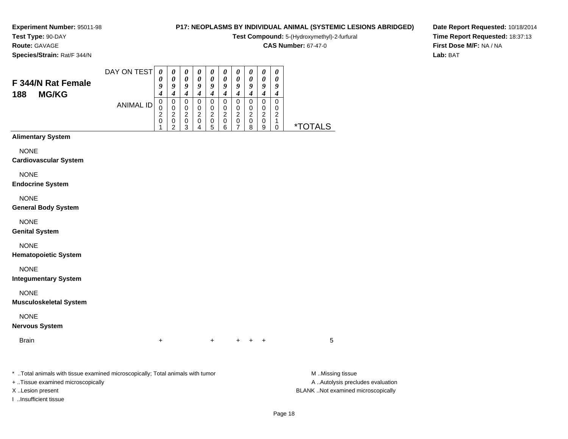**Test Type:** 90-DAY

**Route:** GAVAGE

**Species/Strain:** Rat/F 344/N

## **P17: NEOPLASMS BY INDIVIDUAL ANIMAL (SYSTEMIC LESIONS ABRIDGED)**

**Test Compound:** 5-(Hydroxymethyl)-2-furfural

**CAS Number:** 67-47-0

**Date Report Requested:** 10/18/2014**Time Report Requested:** 18:37:13**First Dose M/F:** NA / NA**Lab:** BAT

|                                                                                | DAY ON TEST      | $\boldsymbol{\theta}$           | $\pmb{\theta}$                  | $\boldsymbol{\theta}$           | $\pmb{\theta}$                | $\boldsymbol{\theta}$           | $\boldsymbol{\theta}$           | $\boldsymbol{\theta}$           | $\pmb{\theta}$                  | $\boldsymbol{\theta}$           | $\boldsymbol{\theta}$           |                       |
|--------------------------------------------------------------------------------|------------------|---------------------------------|---------------------------------|---------------------------------|-------------------------------|---------------------------------|---------------------------------|---------------------------------|---------------------------------|---------------------------------|---------------------------------|-----------------------|
| F 344/N Rat Female                                                             |                  | 0<br>9                          | 0<br>9                          | $\boldsymbol{\theta}$<br>9      | 0<br>9                        | 0<br>9                          | 0<br>9                          | $\pmb{\theta}$<br>9             | 0<br>9                          | 0<br>9                          | $\boldsymbol{\theta}$<br>9      |                       |
| <b>MG/KG</b><br>188                                                            |                  | $\boldsymbol{4}$<br>$\mathbf 0$ | $\boldsymbol{4}$<br>$\mathbf 0$ | $\boldsymbol{4}$<br>$\mathbf 0$ | $\boldsymbol{4}$<br>$\pmb{0}$ | $\boldsymbol{4}$<br>$\mathbf 0$ | $\boldsymbol{4}$<br>$\mathbf 0$ | $\boldsymbol{4}$<br>$\mathbf 0$ | $\boldsymbol{4}$<br>$\mathbf 0$ | $\boldsymbol{4}$<br>$\mathbf 0$ | $\boldsymbol{4}$<br>$\mathbf 0$ |                       |
|                                                                                | <b>ANIMAL ID</b> | 0<br>$\overline{c}$             | $\mathbf 0$<br>$\overline{c}$   | $\mathbf 0$<br>$\overline{c}$   | $\pmb{0}$<br>$\boldsymbol{2}$ | $\mathbf 0$<br>$\overline{c}$   | $\pmb{0}$<br>$\overline{2}$     | $\mathbf 0$<br>$\overline{c}$   | $\pmb{0}$<br>$\overline{c}$     | $\pmb{0}$<br>$\overline{c}$     | $\mathbf 0$<br>$\overline{c}$   |                       |
|                                                                                |                  | $\mathbf 0$<br>1                | $\mathbf 0$<br>$\overline{c}$   | $\pmb{0}$<br>3                  | $\mathsf 0$<br>4              | $\pmb{0}$<br>5                  | $\pmb{0}$<br>6                  | $\pmb{0}$<br>$\overline{7}$     | $\pmb{0}$<br>8                  | $\pmb{0}$<br>$\boldsymbol{9}$   | $\mathbf{1}$<br>$\pmb{0}$       | <i><b>*TOTALS</b></i> |
| <b>Alimentary System</b>                                                       |                  |                                 |                                 |                                 |                               |                                 |                                 |                                 |                                 |                                 |                                 |                       |
| <b>NONE</b><br><b>Cardiovascular System</b>                                    |                  |                                 |                                 |                                 |                               |                                 |                                 |                                 |                                 |                                 |                                 |                       |
| <b>NONE</b>                                                                    |                  |                                 |                                 |                                 |                               |                                 |                                 |                                 |                                 |                                 |                                 |                       |
| <b>Endocrine System</b>                                                        |                  |                                 |                                 |                                 |                               |                                 |                                 |                                 |                                 |                                 |                                 |                       |
| <b>NONE</b>                                                                    |                  |                                 |                                 |                                 |                               |                                 |                                 |                                 |                                 |                                 |                                 |                       |
| <b>General Body System</b>                                                     |                  |                                 |                                 |                                 |                               |                                 |                                 |                                 |                                 |                                 |                                 |                       |
| <b>NONE</b><br><b>Genital System</b>                                           |                  |                                 |                                 |                                 |                               |                                 |                                 |                                 |                                 |                                 |                                 |                       |
| <b>NONE</b>                                                                    |                  |                                 |                                 |                                 |                               |                                 |                                 |                                 |                                 |                                 |                                 |                       |
| <b>Hematopoietic System</b>                                                    |                  |                                 |                                 |                                 |                               |                                 |                                 |                                 |                                 |                                 |                                 |                       |
| <b>NONE</b><br><b>Integumentary System</b>                                     |                  |                                 |                                 |                                 |                               |                                 |                                 |                                 |                                 |                                 |                                 |                       |
| <b>NONE</b>                                                                    |                  |                                 |                                 |                                 |                               |                                 |                                 |                                 |                                 |                                 |                                 |                       |
| <b>Musculoskeletal System</b>                                                  |                  |                                 |                                 |                                 |                               |                                 |                                 |                                 |                                 |                                 |                                 |                       |
| <b>NONE</b>                                                                    |                  |                                 |                                 |                                 |                               |                                 |                                 |                                 |                                 |                                 |                                 |                       |
| <b>Nervous System</b>                                                          |                  |                                 |                                 |                                 |                               |                                 |                                 |                                 |                                 |                                 |                                 |                       |
| <b>Brain</b>                                                                   |                  | $\ddot{}$                       |                                 |                                 |                               | $\ddot{}$                       |                                 |                                 | $\ddot{}$                       | $\ddot{}$                       |                                 | 5                     |
|                                                                                |                  |                                 |                                 |                                 |                               |                                 |                                 |                                 |                                 |                                 |                                 |                       |
| * Total animals with tissue examined microsconically: Total animals with tumor |                  |                                 |                                 |                                 |                               |                                 |                                 |                                 |                                 |                                 |                                 | M Miccina ticcup      |

..Total animals with tissue examined microscopically; Total animals with tumor M ..Missing tissue M

+ ..Tissue examined microscopically

I ..Insufficient tissue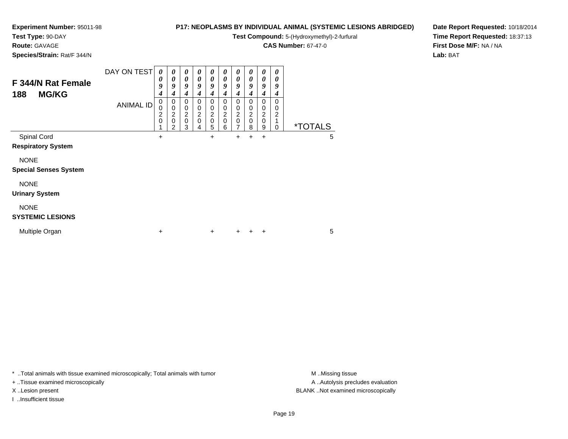## **Test Type:** 90-DAY

**Route:** GAVAGE

**Species/Strain:** Rat/F 344/N

## **P17: NEOPLASMS BY INDIVIDUAL ANIMAL (SYSTEMIC LESIONS ABRIDGED)**

**Test Compound:** 5-(Hydroxymethyl)-2-furfural

**CAS Number:** 67-47-0

**Date Report Requested:** 10/18/2014**Time Report Requested:** 18:37:13**First Dose M/F:** NA / NA**Lab:** BAT

| F 344/N Rat Female<br><b>MG/KG</b><br>188   | DAY ON TEST      | 0<br>0<br>9<br>4              | $\boldsymbol{\theta}$<br>$\boldsymbol{\theta}$<br>9<br>4 | 0<br>0<br>9<br>4                             | 0<br>$\boldsymbol{\theta}$<br>9<br>4 | $\boldsymbol{\theta}$<br>0<br>9<br>4                  | 0<br>$\boldsymbol{\theta}$<br>9<br>4                          | $\boldsymbol{\theta}$<br>$\boldsymbol{\theta}$<br>9<br>4 | 0<br>0<br>9<br>$\boldsymbol{4}$                        | 0<br>0<br>9<br>4                                    | $\boldsymbol{\theta}$<br>$\boldsymbol{\theta}$<br>9<br>4 |  |                       |  |
|---------------------------------------------|------------------|-------------------------------|----------------------------------------------------------|----------------------------------------------|--------------------------------------|-------------------------------------------------------|---------------------------------------------------------------|----------------------------------------------------------|--------------------------------------------------------|-----------------------------------------------------|----------------------------------------------------------|--|-----------------------|--|
|                                             | <b>ANIMAL ID</b> | 0<br>0<br>$\overline{2}$<br>0 | 0<br>0<br>$\overline{c}$<br>$\mathbf 0$<br>2             | 0<br>0<br>$\overline{c}$<br>$\mathbf 0$<br>3 | 0<br>0<br>$\frac{2}{0}$<br>4         | 0<br>0<br>$\overline{\mathbf{c}}$<br>$\mathbf 0$<br>5 | $\mathbf 0$<br>0<br>$\overline{\mathbf{c}}$<br>$\pmb{0}$<br>6 | 0<br>0<br>$\overline{c}$<br>$\mathbf 0$<br>7             | $\mathbf 0$<br>0<br>$\boldsymbol{2}$<br>$\pmb{0}$<br>8 | 0<br>0<br>$\overline{\mathbf{c}}$<br>$\pmb{0}$<br>9 | 0<br>0<br>$\boldsymbol{2}$<br>1<br>0                     |  | <i><b>*TOTALS</b></i> |  |
| Spinal Cord<br><b>Respiratory System</b>    |                  | $\ddot{}$                     |                                                          |                                              |                                      | +                                                     |                                                               | $\ddot{}$                                                | $+$                                                    | +                                                   |                                                          |  | 5                     |  |
| <b>NONE</b><br><b>Special Senses System</b> |                  |                               |                                                          |                                              |                                      |                                                       |                                                               |                                                          |                                                        |                                                     |                                                          |  |                       |  |
| <b>NONE</b><br><b>Urinary System</b>        |                  |                               |                                                          |                                              |                                      |                                                       |                                                               |                                                          |                                                        |                                                     |                                                          |  |                       |  |
| <b>NONE</b><br><b>SYSTEMIC LESIONS</b>      |                  |                               |                                                          |                                              |                                      |                                                       |                                                               |                                                          |                                                        |                                                     |                                                          |  |                       |  |
| Multiple Organ                              |                  | ÷                             |                                                          |                                              |                                      | $\ddot{}$                                             |                                                               | ٠                                                        | ÷                                                      | ÷                                                   |                                                          |  | 5                     |  |

\* ..Total animals with tissue examined microscopically; Total animals with tumor **M** . Missing tissue M ..Missing tissue

+ ..Tissue examined microscopically

I ..Insufficient tissue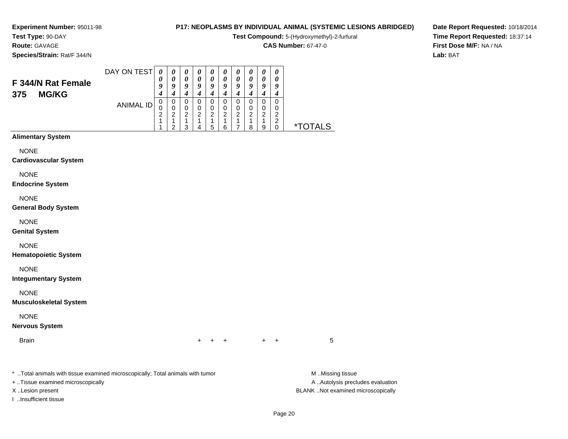#### **Test Type:** 90-DAY**Route:** GAVAGE

**Species/Strain:** Rat/F 344/N

## **P17: NEOPLASMS BY INDIVIDUAL ANIMAL (SYSTEMIC LESIONS ABRIDGED)**

**Test Compound:** 5-(Hydroxymethyl)-2-furfural

**CAS Number:** 67-47-0

**Date Report Requested:** 10/18/2014**Time Report Requested:** 18:37:14**First Dose M/F:** NA / NA**Lab:** BAT

| F 344/N Rat Female<br><b>MG/KG</b><br>375 | DAY ON TEST | 0<br>U<br>o | $\boldsymbol{\theta}$<br>0<br>9 | $\boldsymbol{\theta}$<br>$\boldsymbol{\theta}$<br>Q | $\boldsymbol{\theta}$<br>$\boldsymbol{\theta}$<br>o | $\boldsymbol{\theta}$<br>$\boldsymbol{\theta}$<br>о | $\boldsymbol{\theta}$<br>$\boldsymbol{\theta}$<br>9 | $\boldsymbol{\theta}$<br>$\boldsymbol{\theta}$<br>о | $\boldsymbol{\theta}$<br>$\boldsymbol{\theta}$<br>o | $\boldsymbol{\theta}$<br>$\boldsymbol{\theta}$<br>о | $\boldsymbol{\theta}$<br>$\boldsymbol{\theta}$<br>9<br>4 |                    |
|-------------------------------------------|-------------|-------------|---------------------------------|-----------------------------------------------------|-----------------------------------------------------|-----------------------------------------------------|-----------------------------------------------------|-----------------------------------------------------|-----------------------------------------------------|-----------------------------------------------------|----------------------------------------------------------|--------------------|
|                                           | ANIMAL ID   | U<br>◠      | 0<br>າ<br>◠                     | 0<br>າ<br>◠                                         | U<br>າ                                              | U<br>າ<br>5                                         | າ<br>6                                              | າ                                                   | າ<br>8                                              | 0<br>ົ<br>9                                         | 0<br>ົ<br>◠                                              | <b>OTALS</b><br>∗¬ |

## **Alimentary System**

NONE

#### **Cardiovascular System**

NONE

#### **Endocrine System**

NONE

#### **General Body System**

NONE

#### **Genital System**

NONE

#### **Hematopoietic System**

NONE

#### **Integumentary System**

NONE

#### **Musculoskeletal System**

NONE

### **Nervous System**

Brain

n  $+$ <sup>+</sup> <sup>+</sup> <sup>+</sup> <sup>+</sup> <sup>5</sup>

\* ..Total animals with tissue examined microscopically; Total animals with tumor **M** ..Missing tissue M ..Missing tissue

+ ..Tissue examined microscopically

I ..Insufficient tissue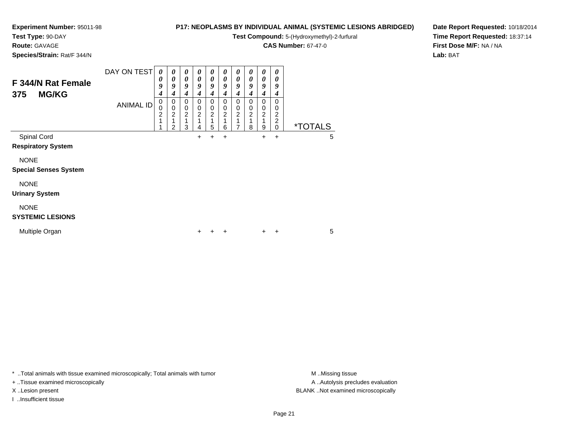## **Test Type:** 90-DAY

**Route:** GAVAGE

**Species/Strain:** Rat/F 344/N

## **P17: NEOPLASMS BY INDIVIDUAL ANIMAL (SYSTEMIC LESIONS ABRIDGED)**

**Test Compound:** 5-(Hydroxymethyl)-2-furfural

**CAS Number:** 67-47-0

**Date Report Requested:** 10/18/2014**Time Report Requested:** 18:37:14**First Dose M/F:** NA / NA**Lab:** BAT

| F 344/N Rat Female<br><b>MG/KG</b><br>375   | DAY ON TEST      | 0<br>0<br>9<br>4         | 0<br>0<br>9<br>4                                    | 0<br>0<br>9<br>4              | 0<br>0<br>9<br>4                                                     | 0<br>0<br>9<br>4                | 0<br>0<br>9<br>4             | 0<br>0<br>9<br>4                  | 0<br>0<br>9<br>4                               | 0<br>0<br>9<br>4                       | 0<br>0<br>9<br>4                          |                       |   |
|---------------------------------------------|------------------|--------------------------|-----------------------------------------------------|-------------------------------|----------------------------------------------------------------------|---------------------------------|------------------------------|-----------------------------------|------------------------------------------------|----------------------------------------|-------------------------------------------|-----------------------|---|
|                                             | <b>ANIMAL ID</b> | 0<br>0<br>$\overline{c}$ | 0<br>$\pmb{0}$<br>$\overline{\mathbf{c}}$<br>1<br>2 | 0<br>0<br>$\overline{c}$<br>3 | $\mathbf 0$<br>$\boldsymbol{0}$<br>$\overline{\mathbf{c}}$<br>1<br>4 | 0<br>0<br>$\boldsymbol{2}$<br>5 | 0<br>0<br>$\frac{2}{1}$<br>6 | 0<br>0<br>$\overline{\mathbf{c}}$ | 0<br>$\pmb{0}$<br>$\overline{\mathbf{c}}$<br>8 | 0<br>0<br>$\overline{\mathbf{c}}$<br>9 | 0<br>0<br>2<br>$\overline{c}$<br>$\Omega$ | <i><b>*TOTALS</b></i> |   |
| Spinal Cord<br><b>Respiratory System</b>    |                  |                          |                                                     |                               | $\pm$                                                                | +                               | $\ddot{}$                    |                                   |                                                | $\ddot{}$                              | $\ddot{}$                                 |                       | 5 |
| <b>NONE</b><br><b>Special Senses System</b> |                  |                          |                                                     |                               |                                                                      |                                 |                              |                                   |                                                |                                        |                                           |                       |   |
| <b>NONE</b><br><b>Urinary System</b>        |                  |                          |                                                     |                               |                                                                      |                                 |                              |                                   |                                                |                                        |                                           |                       |   |
| <b>NONE</b><br><b>SYSTEMIC LESIONS</b>      |                  |                          |                                                     |                               |                                                                      |                                 |                              |                                   |                                                |                                        |                                           |                       |   |
| Multiple Organ                              |                  |                          |                                                     |                               | +                                                                    |                                 | +                            |                                   |                                                | ٠                                      | $\ddot{}$                                 |                       | 5 |

\* ..Total animals with tissue examined microscopically; Total animals with tumor **M** . Missing tissue M ..Missing tissue

+ ..Tissue examined microscopically

I ..Insufficient tissue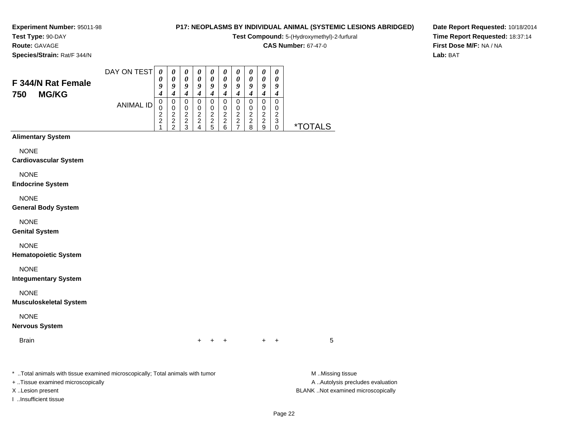**Test Type:** 90-DAY

**Route:** GAVAGE

**Species/Strain:** Rat/F 344/N

## **P17: NEOPLASMS BY INDIVIDUAL ANIMAL (SYSTEMIC LESIONS ABRIDGED)**

**Test Compound:** 5-(Hydroxymethyl)-2-furfural

**CAS Number:** 67-47-0

**Date Report Requested:** 10/18/2014**Time Report Requested:** 18:37:14**First Dose M/F:** NA / NA**Lab:** BAT

| F 344/N Rat Female<br><b>MG/KG</b><br>750 | DAY ON TEST | 0<br>υ<br>4 | $\boldsymbol{\theta}$<br>u<br>4 | $\boldsymbol{\theta}$<br>$\boldsymbol{\theta}$<br>о<br>4 | $\boldsymbol{\theta}$<br>0<br>u<br>4 | $\boldsymbol{\theta}$<br>$\boldsymbol{\theta}$<br>u<br>4 | $\boldsymbol{\theta}$<br>0<br>u<br>4 | $\boldsymbol{\theta}$<br>$\boldsymbol{\theta}$<br>u<br>4 | $\boldsymbol{\theta}$<br>0<br>u<br>4 | $\boldsymbol{\theta}$<br>$\boldsymbol{\theta}$<br>о<br>4 | $\boldsymbol{\theta}$<br>$\boldsymbol{\theta}$<br>9<br>4 |   |
|-------------------------------------------|-------------|-------------|---------------------------------|----------------------------------------------------------|--------------------------------------|----------------------------------------------------------|--------------------------------------|----------------------------------------------------------|--------------------------------------|----------------------------------------------------------|----------------------------------------------------------|---|
|                                           | ANIMAL ID   | O<br>◠<br>ົ | 0<br>0<br>⌒<br>ົ<br>◠           | O<br>⌒<br>◠<br>◠                                         | ⌒<br>ົ<br>$\sqrt{ }$                 | ⌒<br>◠<br>b                                              | ົ<br>າ<br>6                          | ⌒<br>◠                                                   | ⌒<br>ົ<br>8                          | ⌒<br>ົ<br>a                                              | 0<br>0<br>⌒<br>າ<br>ບ                                    | * |

## **Alimentary System**

NONE

**Cardiovascular System**

NONE

**Endocrine System**

NONE

**General Body System**

NONE

**Genital System**

NONE

**Hematopoietic System**

NONE

**Integumentary System**

NONE

**Musculoskeletal System**

NONE

**Nervous System**

Brain

n  $+$ <sup>+</sup> <sup>+</sup> <sup>+</sup> <sup>+</sup> <sup>5</sup>

\* ..Total animals with tissue examined microscopically; Total animals with tumor **M** ..Missing tissue M ..Missing tissue

+ ..Tissue examined microscopically

I ..Insufficient tissue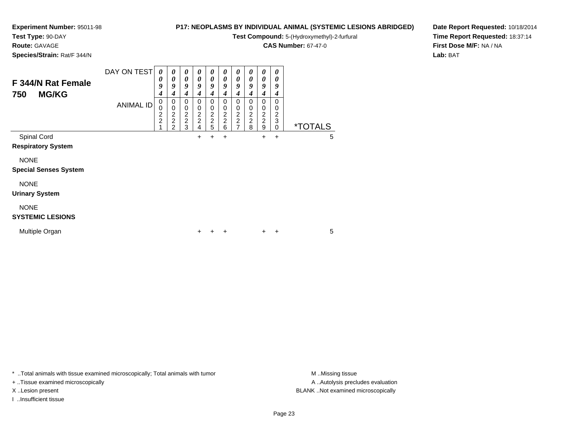## **Test Type:** 90-DAY

**Route:** GAVAGE

**Species/Strain:** Rat/F 344/N

## **P17: NEOPLASMS BY INDIVIDUAL ANIMAL (SYSTEMIC LESIONS ABRIDGED)**

**Test Compound:** 5-(Hydroxymethyl)-2-furfural

**CAS Number:** 67-47-0

**Date Report Requested:** 10/18/2014**Time Report Requested:** 18:37:14**First Dose M/F:** NA / NA**Lab:** BAT

| F 344/N Rat Female<br><b>MG/KG</b><br>750   | DAY ON TEST<br><b>ANIMAL ID</b> | $\boldsymbol{\theta}$<br>0<br>9<br>4<br>0<br>0<br>2<br>2 | $\boldsymbol{\theta}$<br>$\boldsymbol{\theta}$<br>9<br>$\boldsymbol{4}$<br>$\pmb{0}$<br>$\pmb{0}$<br>$\frac{2}{2}$<br>$\overline{2}$ | 0<br>0<br>9<br>4<br>0<br>0<br>$\frac{2}{2}$<br>3 | 0<br>0<br>9<br>4<br>$\Omega$<br>0<br>$\frac{2}{2}$<br>4 | 0<br>0<br>9<br>4<br>0<br>0<br>$\frac{2}{2}$<br>5 | 0<br>0<br>9<br>4<br>0<br>0<br>$\frac{2}{2}$<br>6 | 0<br>0<br>9<br>4<br>0<br>0<br>$\frac{2}{2}$<br>$\overline{7}$ | 0<br>0<br>9<br>4<br>0<br>0<br>$\frac{2}{2}$<br>8 | 0<br>0<br>9<br>4<br>$\Omega$<br>0<br>$\frac{2}{2}$<br>9 | 0<br>0<br>9<br>4<br>$\Omega$<br>0<br>$\overline{c}$<br>3<br>0 | <i><b>*TOTALS</b></i> |  |
|---------------------------------------------|---------------------------------|----------------------------------------------------------|--------------------------------------------------------------------------------------------------------------------------------------|--------------------------------------------------|---------------------------------------------------------|--------------------------------------------------|--------------------------------------------------|---------------------------------------------------------------|--------------------------------------------------|---------------------------------------------------------|---------------------------------------------------------------|-----------------------|--|
| Spinal Cord<br><b>Respiratory System</b>    |                                 |                                                          |                                                                                                                                      |                                                  | $\ddot{}$                                               | +                                                | $\ddot{}$                                        |                                                               |                                                  | $+$                                                     | $\ddot{}$                                                     | 5                     |  |
| <b>NONE</b><br><b>Special Senses System</b> |                                 |                                                          |                                                                                                                                      |                                                  |                                                         |                                                  |                                                  |                                                               |                                                  |                                                         |                                                               |                       |  |
| <b>NONE</b><br><b>Urinary System</b>        |                                 |                                                          |                                                                                                                                      |                                                  |                                                         |                                                  |                                                  |                                                               |                                                  |                                                         |                                                               |                       |  |
| <b>NONE</b><br><b>SYSTEMIC LESIONS</b>      |                                 |                                                          |                                                                                                                                      |                                                  |                                                         |                                                  |                                                  |                                                               |                                                  |                                                         |                                                               |                       |  |
| Multiple Organ                              |                                 |                                                          |                                                                                                                                      |                                                  | +                                                       |                                                  | ÷                                                |                                                               |                                                  | $\ddot{}$                                               | ÷                                                             | 5                     |  |

\* ..Total animals with tissue examined microscopically; Total animals with tumor **M** . Missing tissue M ..Missing tissue

+ ..Tissue examined microscopically

I ..Insufficient tissue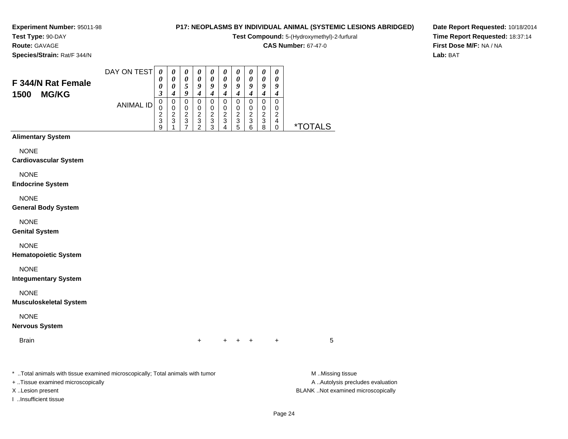#### **Test Type:** 90-DAY**Route:** GAVAGE

**Species/Strain:** Rat/F 344/N

## **P17: NEOPLASMS BY INDIVIDUAL ANIMAL (SYSTEMIC LESIONS ABRIDGED)**

**Test Compound:** 5-(Hydroxymethyl)-2-furfural

**CAS Number:** 67-47-0

**Date Report Requested:** 10/18/2014**Time Report Requested:** 18:37:14**First Dose M/F:** NA / NA**Lab:** BAT

| F 344/N Rat Female<br><b>MG/KG</b><br>1500 | DAY ON TEST<br><b>ANIMAL ID</b> | 0<br>0<br>3<br>0<br>ົ<br>3 | 0<br>0<br>0<br>4<br>0<br>2<br>3 | $\boldsymbol{\theta}$<br>0<br>9<br>0<br>ົ<br>3 | $\boldsymbol{\theta}$<br>0<br>9<br>4<br>0<br>ົ<br>3 | $\boldsymbol{\theta}$<br>0<br>9<br>ົ<br>3 | U<br>0<br>9<br>ົ<br>∠<br>3 | U<br>0<br>9<br>ົ<br>3 | U<br>0<br>o<br>2<br>3 | U<br>0<br>9<br>ົ<br>3 | 0<br>0<br>9<br>2<br>4 |                       |
|--------------------------------------------|---------------------------------|----------------------------|---------------------------------|------------------------------------------------|-----------------------------------------------------|-------------------------------------------|----------------------------|-----------------------|-----------------------|-----------------------|-----------------------|-----------------------|
|                                            |                                 | 9                          |                                 |                                                |                                                     | っ                                         |                            | 5                     | 6                     | я                     |                       | <i><b>*TOTALS</b></i> |
| <b>Alimentary System</b>                   |                                 |                            |                                 |                                                |                                                     |                                           |                            |                       |                       |                       |                       |                       |

## **Alimentary S**

NONE

#### **Cardiovascular System**

NONE

#### **Endocrine System**

NONE

#### **General Body System**

NONE

#### **Genital System**

NONE

#### **Hematopoietic System**

NONE

#### **Integumentary System**

NONE

#### **Musculoskeletal System**

NONE

### **Nervous System**

Brainn  $+$ 

<sup>+</sup> <sup>+</sup> <sup>+</sup> <sup>+</sup> <sup>5</sup>

\* ..Total animals with tissue examined microscopically; Total animals with tumor **M** ..Missing tissue M ..Missing tissue

+ ..Tissue examined microscopically

I ..Insufficient tissue